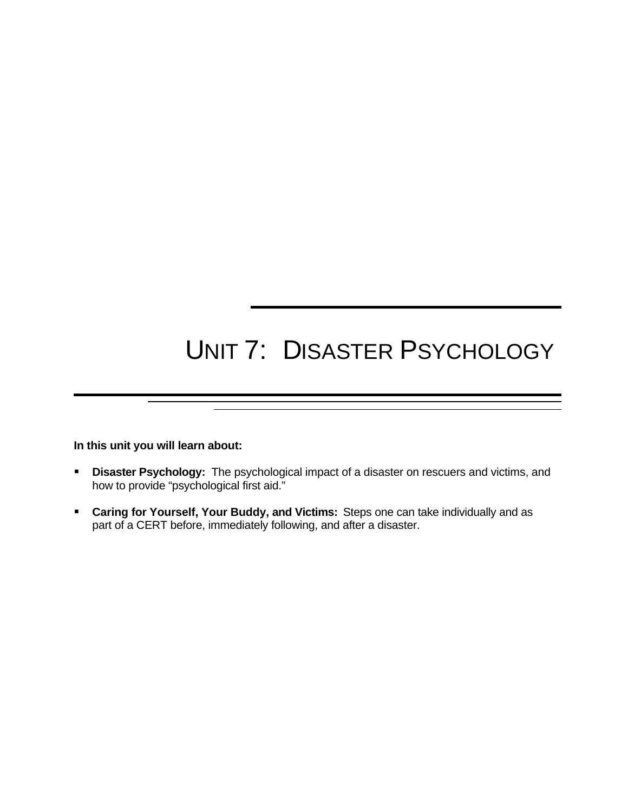# UNIT 7: DISASTER PSYCHOLOGY

**In this unit you will learn about:**

- **E** Disaster Psychology: The psychological impact of a disaster on rescuers and victims, and how to provide "psychological first aid."
- **Caring for Yourself, Your Buddy, and Victims:** Steps one can take individually and as part of a CERT before, immediately following, and after a disaster.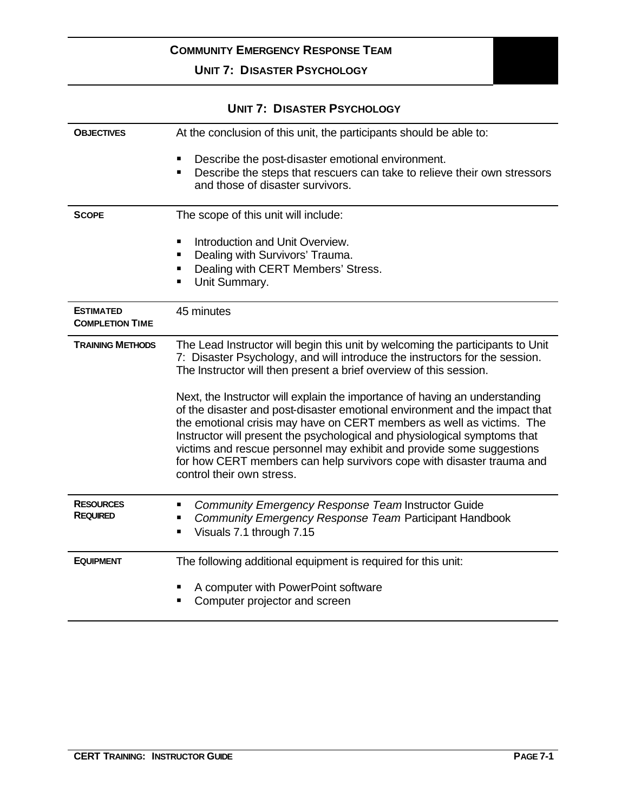### **UNIT 7: DISASTER PSYCHOLOGY**

| <b>OBJECTIVES</b>                          | At the conclusion of this unit, the participants should be able to:                                                                                                                                                                                                                                                                                                                                                                                                                             |  |
|--------------------------------------------|-------------------------------------------------------------------------------------------------------------------------------------------------------------------------------------------------------------------------------------------------------------------------------------------------------------------------------------------------------------------------------------------------------------------------------------------------------------------------------------------------|--|
|                                            | Describe the post-disaster emotional environment.<br>п<br>Describe the steps that rescuers can take to relieve their own stressors<br>п<br>and those of disaster survivors.                                                                                                                                                                                                                                                                                                                     |  |
| <b>SCOPE</b>                               | The scope of this unit will include:                                                                                                                                                                                                                                                                                                                                                                                                                                                            |  |
|                                            | Introduction and Unit Overview.<br>٠<br>Dealing with Survivors' Trauma.<br>п<br>Dealing with CERT Members' Stress.<br>Unit Summary.<br>٠                                                                                                                                                                                                                                                                                                                                                        |  |
| <b>ESTIMATED</b><br><b>COMPLETION TIME</b> | 45 minutes                                                                                                                                                                                                                                                                                                                                                                                                                                                                                      |  |
| <b>TRAINING METHODS</b>                    | The Lead Instructor will begin this unit by welcoming the participants to Unit<br>7: Disaster Psychology, and will introduce the instructors for the session.<br>The Instructor will then present a brief overview of this session.                                                                                                                                                                                                                                                             |  |
|                                            | Next, the Instructor will explain the importance of having an understanding<br>of the disaster and post-disaster emotional environment and the impact that<br>the emotional crisis may have on CERT members as well as victims. The<br>Instructor will present the psychological and physiological symptoms that<br>victims and rescue personnel may exhibit and provide some suggestions<br>for how CERT members can help survivors cope with disaster trauma and<br>control their own stress. |  |
| <b>RESOURCES</b><br><b>REQUIRED</b>        | Community Emergency Response Team Instructor Guide<br>Community Emergency Response Team Participant Handbook<br>Visuals 7.1 through 7.15<br>п                                                                                                                                                                                                                                                                                                                                                   |  |
| <b>EQUIPMENT</b>                           | The following additional equipment is required for this unit:                                                                                                                                                                                                                                                                                                                                                                                                                                   |  |
|                                            | A computer with PowerPoint software<br>Computer projector and screen                                                                                                                                                                                                                                                                                                                                                                                                                            |  |

### **UNIT 7: DISASTER PSYCHOLOGY**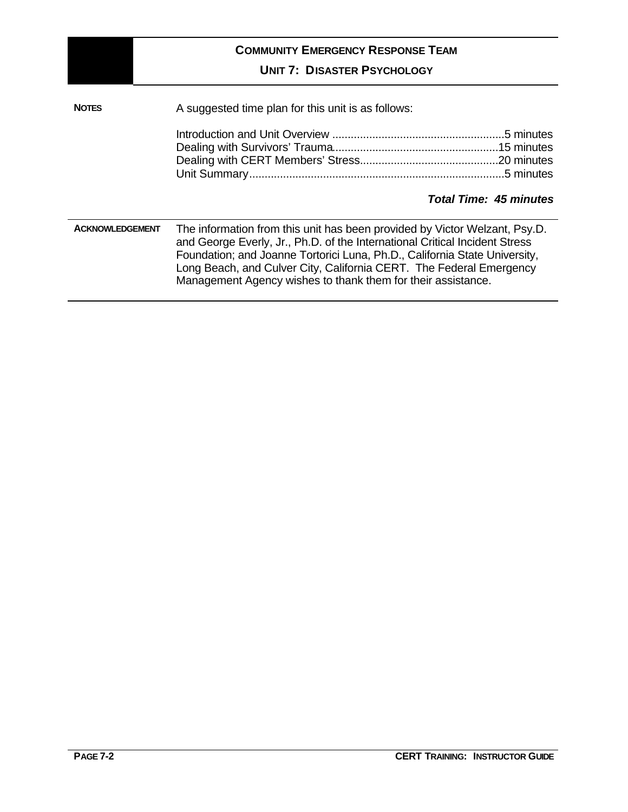|              | <b>COMMUNITY EMERGENCY RESPONSE TEAM</b><br><b>UNIT 7: DISASTER PSYCHOLOGY</b>                                                                                                                                                                                                                                                                                                                           |  |
|--------------|----------------------------------------------------------------------------------------------------------------------------------------------------------------------------------------------------------------------------------------------------------------------------------------------------------------------------------------------------------------------------------------------------------|--|
| <b>NOTES</b> | A suggested time plan for this unit is as follows:                                                                                                                                                                                                                                                                                                                                                       |  |
|              | <b>Total Time: 45 minutes</b>                                                                                                                                                                                                                                                                                                                                                                            |  |
|              | The information from this unit has been provided by Victor Welzant, Psy.D.<br><b>ACKNOWLEDGEMENT</b><br>and George Everly, Jr., Ph.D. of the International Critical Incident Stress<br>Foundation; and Joanne Tortorici Luna, Ph.D., California State University,<br>Long Beach, and Culver City, California CERT. The Federal Emergency<br>Management Agency wishes to thank them for their assistance. |  |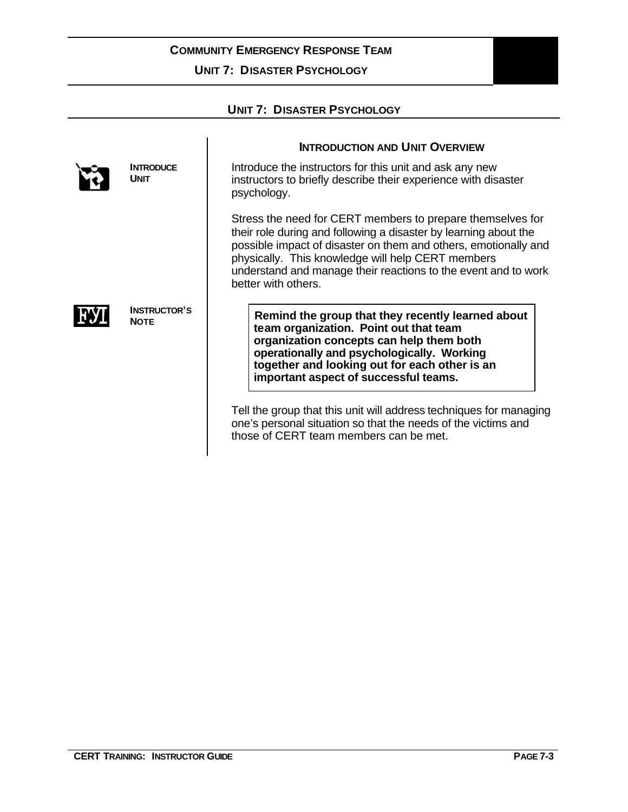**UNIT 7: DISASTER PSYCHOLOGY**

| <b>UNIT 7: DISASTER PSYCHOLOGY</b> |                                    |                                                                                                                                                                                                                                                                                                                                                 |  |
|------------------------------------|------------------------------------|-------------------------------------------------------------------------------------------------------------------------------------------------------------------------------------------------------------------------------------------------------------------------------------------------------------------------------------------------|--|
|                                    |                                    |                                                                                                                                                                                                                                                                                                                                                 |  |
|                                    |                                    | <b>INTRODUCTION AND UNIT OVERVIEW</b>                                                                                                                                                                                                                                                                                                           |  |
|                                    | <b>INTRODUCE</b><br><b>UNIT</b>    | Introduce the instructors for this unit and ask any new<br>instructors to briefly describe their experience with disaster<br>psychology.                                                                                                                                                                                                        |  |
|                                    |                                    | Stress the need for CERT members to prepare themselves for<br>their role during and following a disaster by learning about the<br>possible impact of disaster on them and others, emotionally and<br>physically. This knowledge will help CERT members<br>understand and manage their reactions to the event and to work<br>better with others. |  |
|                                    | <b>INSTRUCTOR'S</b><br><b>NOTE</b> | Remind the group that they recently learned about<br>team organization. Point out that team<br>organization concepts can help them both<br>operationally and psychologically. Working<br>together and looking out for each other is an<br>important aspect of successful teams.                                                                 |  |
|                                    |                                    | Tell the group that this unit will address techniques for managing<br>one's personal situation so that the needs of the victims and<br>those of CERT team members can be met.                                                                                                                                                                   |  |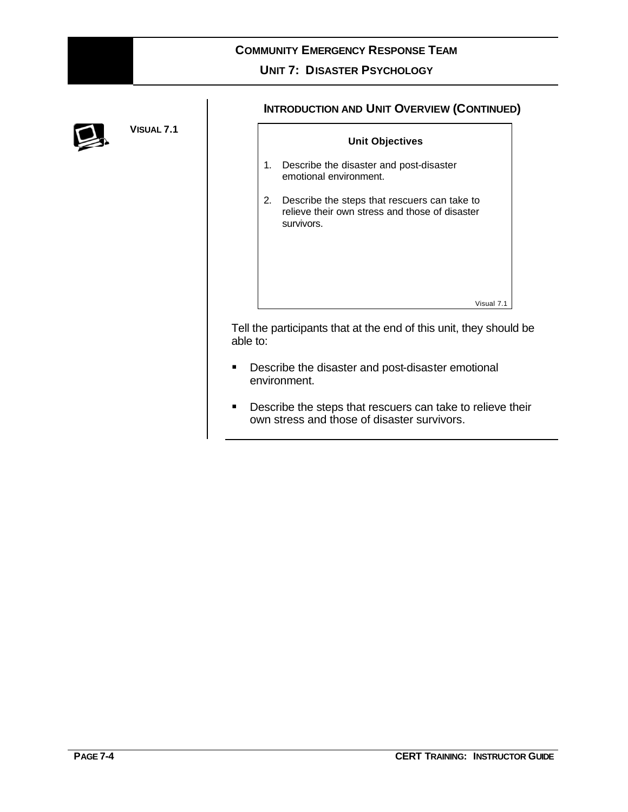### **UNIT 7: DISASTER PSYCHOLOGY**

 $\overline{\Gamma}$ 



**VISUAL 7.1**

### **INTRODUCTION AND UNIT OVERVIEW (CONTINUED)**

|    | <b>Unit Objectives</b>                                                                                       |
|----|--------------------------------------------------------------------------------------------------------------|
| 1. | Describe the disaster and post-disaster<br>emotional environment.                                            |
| 2. | Describe the steps that rescuers can take to<br>relieve their own stress and those of disaster<br>survivors. |
|    | Visual 7.1                                                                                                   |
|    |                                                                                                              |

Tell the participants that at the end of this unit, they should be able to:

- **•** Describe the disaster and post-disaster emotional environment.
- **•** Describe the steps that rescuers can take to relieve their own stress and those of disaster survivors.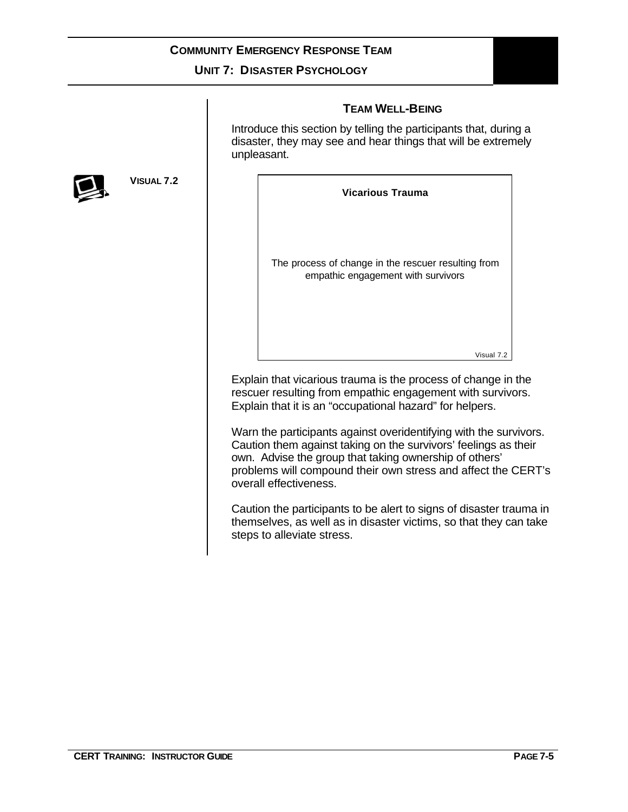### **UNIT 7: DISASTER PSYCHOLOGY**

### **TEAM WELL-BEING**

Introduce this section by telling the participants that, during a disaster, they may see and hear things that will be extremely unpleasant.



Explain that vicarious trauma is the process of change in the rescuer resulting from empathic engagement with survivors. Explain that it is an "occupational hazard" for helpers.

Warn the participants against overidentifying with the survivors. Caution them against taking on the survivors' feelings as their own. Advise the group that taking ownership of others' problems will compound their own stress and affect the CERT's overall effectiveness.

Caution the participants to be alert to signs of disaster trauma in themselves, as well as in disaster victims, so that they can take steps to alleviate stress.



**VISUAL 7.2**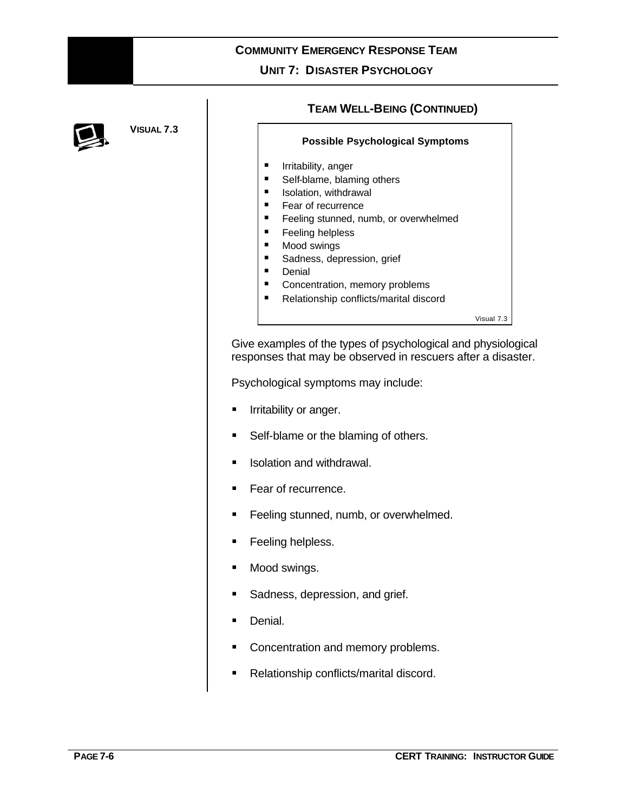### **UNIT 7: DISASTER PSYCHOLOGY**



**VISUAL 7.3**

### **TEAM WELL-BEING (CONTINUED)**

#### **Possible Psychological Symptoms**

- **Filtritability, anger**
- **Bulf-blame, blaming others**
- **s** Isolation, withdrawal
- Fear of recurrence
- **Feeling stunned, numb, or overwhelmed**
- **Feeling helpless**
- Mood swings
- **B** Sadness, depression, grief
- **Denial**
- **EXECONCENTER CONCENTED**, memory problems
- Relationship conflicts/marital discord

Visual 7.3

Give examples of the types of psychological and physiological responses that may be observed in rescuers after a disaster.

Psychological symptoms may include:

- **Irritability or anger.**
- Self-blame or the blaming of others.
- **s** Isolation and withdrawal.
- Fear of recurrence.
- **Feeling stunned, numb, or overwhelmed.**
- **Feeling helpless.**
- Mood swings.
- Sadness, depression, and grief.
- **Denial.**
- ß Concentration and memory problems.
- **Relationship conflicts/marital discord.**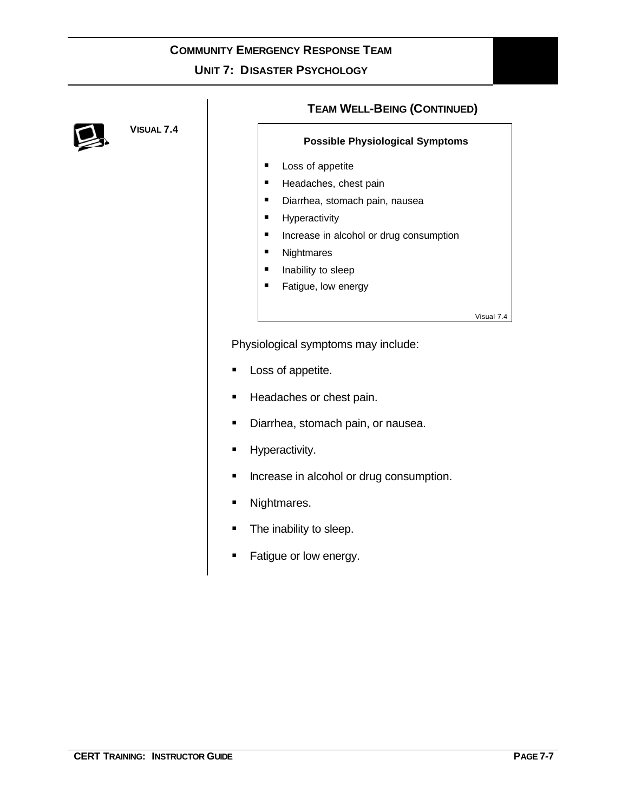# **COMMUNITY EMERGENCY RESPONSE TEAM UNIT 7: DISASTER PSYCHOLOGY**



**VISUAL 7.4**

### **TEAM WELL-BEING (CONTINUED)**

### **Possible Physiological Symptoms**

- **Loss of appetite**
- **Headaches, chest pain**
- **•** Diarrhea, stomach pain, nausea
- **Hyperactivity**
- **■** Increase in alcohol or drug consumption
- **Nightmares**
- **nability to sleep**
- **Fatigue, low energy**

Visual 7.4

Physiological symptoms may include:

- **Loss of appetite.**
- **Headaches or chest pain.**
- **•** Diarrhea, stomach pain, or nausea.
- **Hyperactivity.**
- **EXECUTE:** Increase in alcohol or drug consumption.
- **Nightmares.**
- The inability to sleep.
- **Fatigue or low energy.**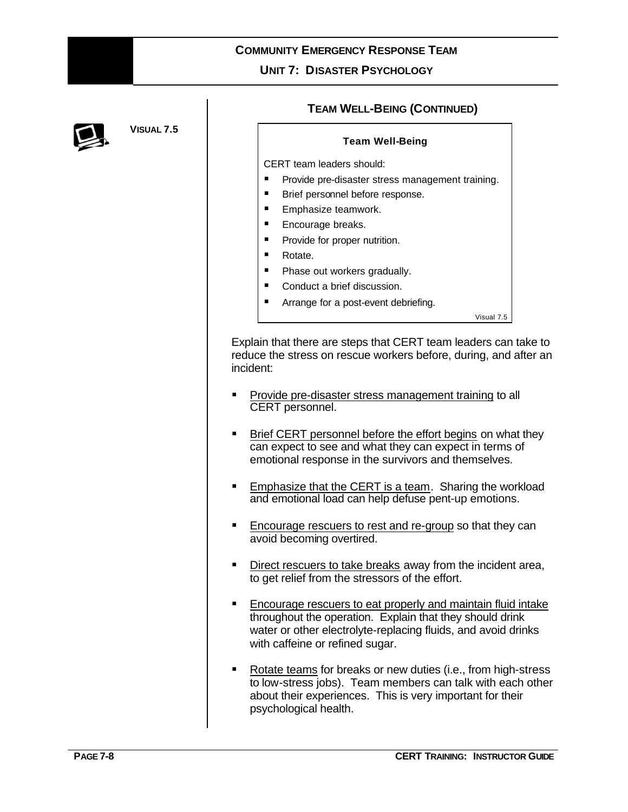

**VISUAL 7.5**

### **TEAM WELL-BEING (CONTINUED)**

### **Team Well-Being**

CERT team leaders should:

- **Provide pre-disaster stress management training.**
- **Brief personnel before response.**
- ß Emphasize teamwork.
- **Encourage breaks.**
- **Provide for proper nutrition.**
- Rotate.
- **Phase out workers gradually.**
- Conduct a brief discussion.
- **Arrange for a post-event debriefing.**

Visual 7.5

Explain that there are steps that CERT team leaders can take to reduce the stress on rescue workers before, during, and after an incident:

- **Provide pre-disaster stress management training to all** CERT personnel.
- **Brief CERT personnel before the effort begins on what they** can expect to see and what they can expect in terms of emotional response in the survivors and themselves.
- **Emphasize that the CERT is a team. Sharing the workload** and emotional load can help defuse pent-up emotions.
- ß Encourage rescuers to rest and re-group so that they can avoid becoming overtired.
- Direct rescuers to take breaks away from the incident area, to get relief from the stressors of the effort.
- ß Encourage rescuers to eat properly and maintain fluid intake throughout the operation. Explain that they should drink water or other electrolyte-replacing fluids, and avoid drinks with caffeine or refined sugar.
- ß Rotate teams for breaks or new duties (i.e., from high-stress to low-stress jobs). Team members can talk with each other about their experiences. This is very important for their psychological health.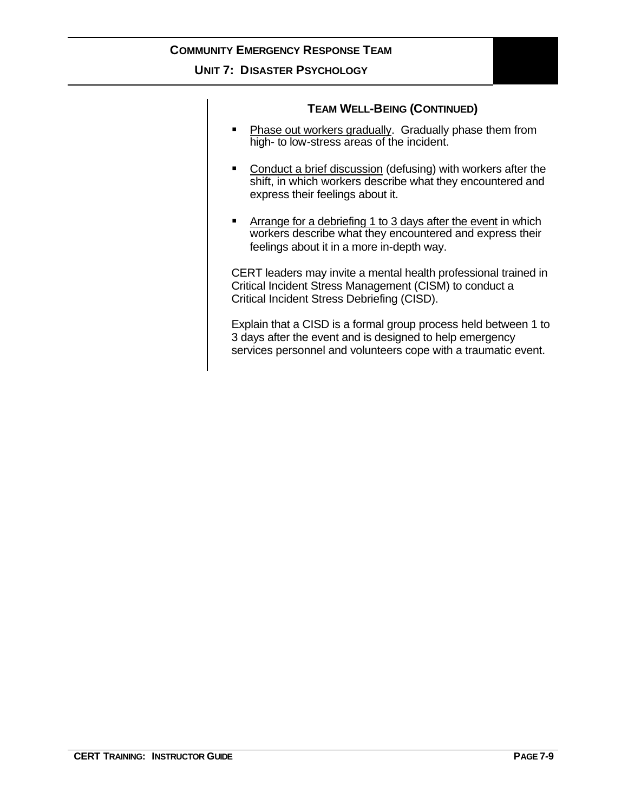### **UNIT 7: DISASTER PSYCHOLOGY**

### **TEAM WELL-BEING (CONTINUED)**

- **Phase out workers gradually. Gradually phase them from** high- to low-stress areas of the incident.
- **Conduct a brief discussion (defusing) with workers after the** shift, in which workers describe what they encountered and express their feelings about it.
- **EXTER Arrange for a debriefing 1 to 3 days after the event in which** workers describe what they encountered and express their feelings about it in a more in-depth way.

CERT leaders may invite a mental health professional trained in Critical Incident Stress Management (CISM) to conduct a Critical Incident Stress Debriefing (CISD).

Explain that a CISD is a formal group process held between 1 to 3 days after the event and is designed to help emergency services personnel and volunteers cope with a traumatic event.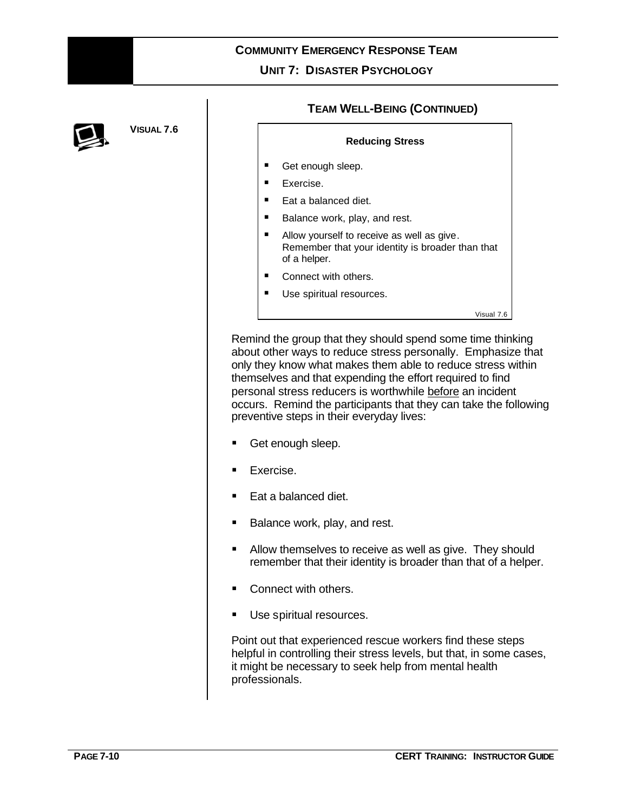**UNIT 7: DISASTER PSYCHOLOGY**



**VISUAL 7.6**

### **TEAM WELL-BEING (CONTINUED)**

#### **Reducing Stress**

- Get enough sleep.
- **Exercise.**
- Eat a balanced diet.
- ß Balance work, play, and rest.
- Allow yourself to receive as well as give. Remember that your identity is broader than that of a helper.
- Connect with others.
- Use spiritual resources.

Visual 7.6

Remind the group that they should spend some time thinking about other ways to reduce stress personally. Emphasize that only they know what makes them able to reduce stress within themselves and that expending the effort required to find personal stress reducers is worthwhile before an incident occurs. Remind the participants that they can take the following preventive steps in their everyday lives:

- Get enough sleep.
- Exercise.
- Eat a balanced diet.
- Balance work, play, and rest.
- **E** Allow themselves to receive as well as give. They should remember that their identity is broader than that of a helper.
- Connect with others.
- Use spiritual resources.

Point out that experienced rescue workers find these steps helpful in controlling their stress levels, but that, in some cases, it might be necessary to seek help from mental health professionals.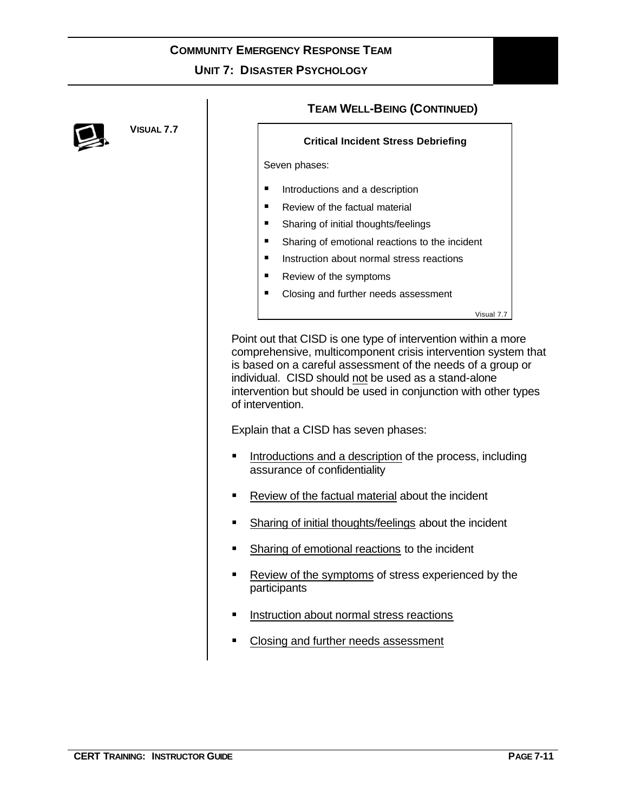### **UNIT 7: DISASTER PSYCHOLOGY**



**VISUAL 7.7**

### **TEAM WELL-BEING (CONTINUED)**

### **Critical Incident Stress Debriefing**

Seven phases:

- **Introductions and a description**
- ß Review of the factual material
- **B** Sharing of initial thoughts/feelings
- **B** Sharing of emotional reactions to the incident
- **E** Instruction about normal stress reactions
- Review of the symptoms
- Closing and further needs assessment

Visual 7.7

Point out that CISD is one type of intervention within a more comprehensive, multicomponent crisis intervention system that is based on a careful assessment of the needs of a group or individual. CISD should not be used as a stand-alone intervention but should be used in conjunction with other types of intervention.

Explain that a CISD has seven phases:

- ß Introductions and a description of the process, including assurance of confidentiality
- ß Review of the factual material about the incident
- **Burnally Sharing of initial thoughts/feelings about the incident**
- **BED Sharing of emotional reactions to the incident**
- ß Review of the symptoms of stress experienced by the participants
- ß Instruction about normal stress reactions
- ß Closing and further needs assessment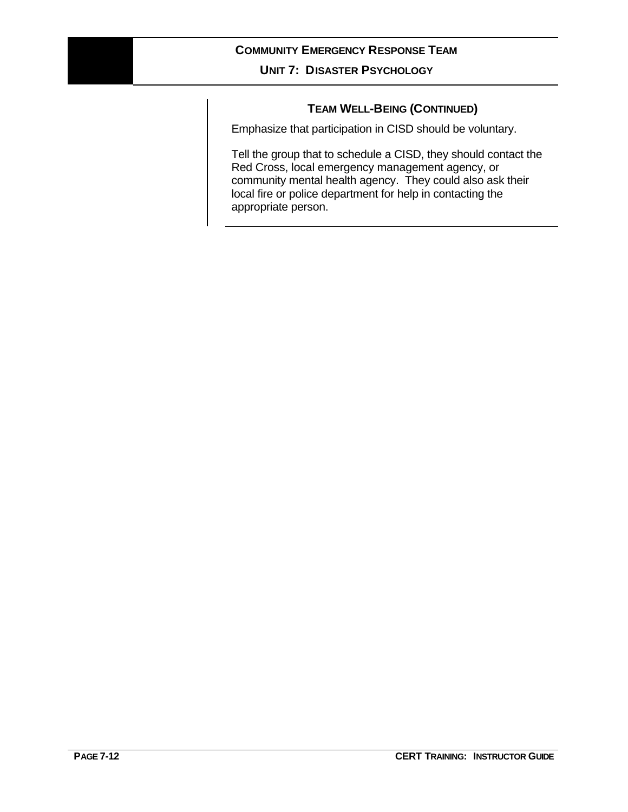### **UNIT 7: DISASTER PSYCHOLOGY**

### **TEAM WELL-BEING (CONTINUED)**

Emphasize that participation in CISD should be voluntary.

Tell the group that to schedule a CISD, they should contact the Red Cross, local emergency management agency, or community mental health agency. They could also ask their local fire or police department for help in contacting the appropriate person.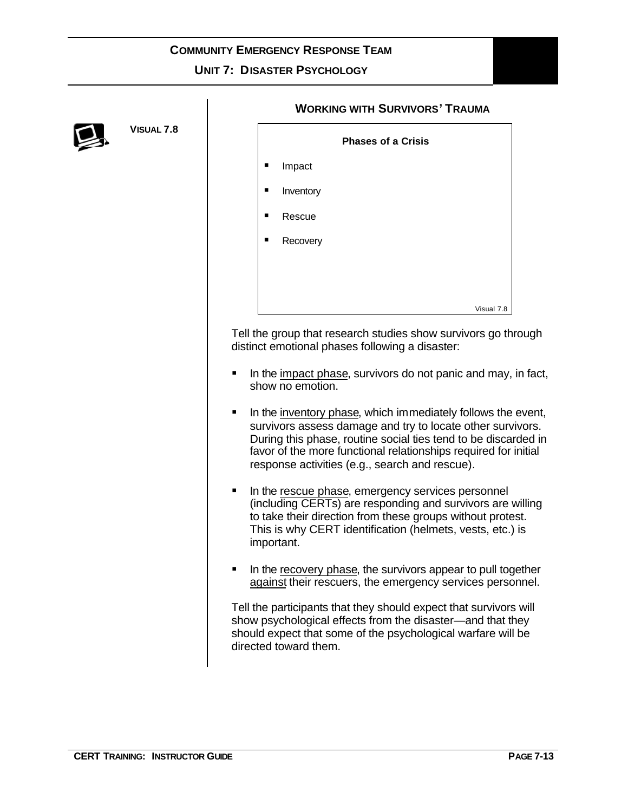**UNIT 7: DISASTER PSYCHOLOGY**



**VISUAL 7.8**

### **WORKING WITH SURVIVORS' TRAUMA**

|                |           | <b>Phases of a Crisis</b> |
|----------------|-----------|---------------------------|
| $\blacksquare$ | Impact    |                           |
| ٠              | Inventory |                           |
| ٠              | Rescue    |                           |
| ٠              | Recovery  |                           |
|                |           |                           |
|                |           |                           |
|                |           | Visual 7.8                |

Tell the group that research studies show survivors go through distinct emotional phases following a disaster:

- $\blacksquare$  In the impact phase, survivors do not panic and may, in fact, show no emotion.
- $\blacksquare$  In the inventory phase, which immediately follows the event, survivors assess damage and try to locate other survivors. During this phase, routine social ties tend to be discarded in favor of the more functional relationships required for initial response activities (e.g., search and rescue).
- **If** In the rescue phase, emergency services personnel (including CERTs) are responding and survivors are willing to take their direction from these groups without protest. This is why CERT identification (helmets, vests, etc.) is important.
- In the recovery phase, the survivors appear to pull together against their rescuers, the emergency services personnel.

Tell the participants that they should expect that survivors will show psychological effects from the disaster—and that they should expect that some of the psychological warfare will be directed toward them.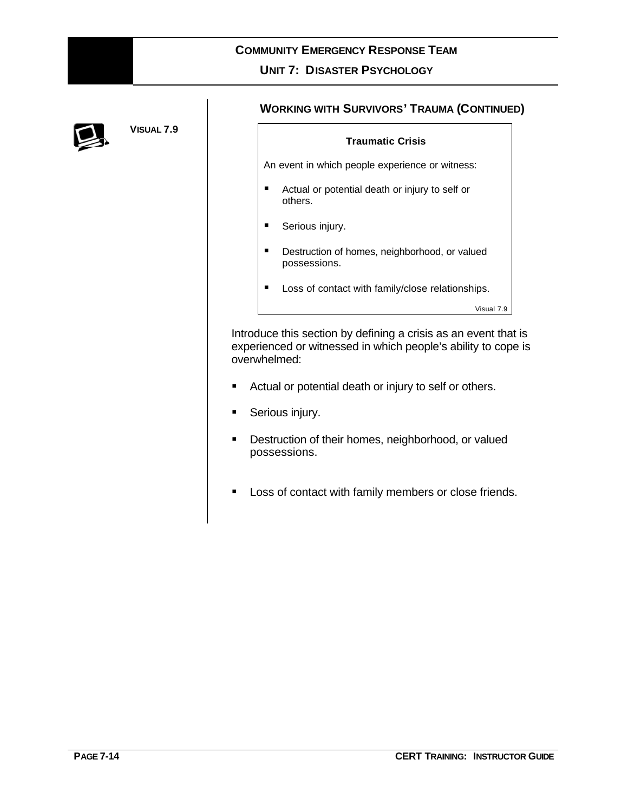

## **COMMUNITY EMERGENCY RESPONSE TEAM UNIT 7: DISASTER PSYCHOLOGY**



**VISUAL 7.9**

### **WORKING WITH SURVIVORS' TRAUMA (CONTINUED)**

|   | <b>Traumatic Crisis</b>                                       |            |  |  |
|---|---------------------------------------------------------------|------------|--|--|
|   | An event in which people experience or witness:               |            |  |  |
| п | Actual or potential death or injury to self or<br>others.     |            |  |  |
| п | Serious injury.                                               |            |  |  |
| п | Destruction of homes, neighborhood, or valued<br>possessions. |            |  |  |
| п | Loss of contact with family/close relationships.              |            |  |  |
|   |                                                               | Visual 7.9 |  |  |

Introduce this section by defining a crisis as an event that is experienced or witnessed in which people's ability to cope is overwhelmed:

- **EXECT** Actual or potential death or injury to self or others.
- **Serious injury.**
- **•** Destruction of their homes, neighborhood, or valued possessions.
- **EXECT:** Loss of contact with family members or close friends.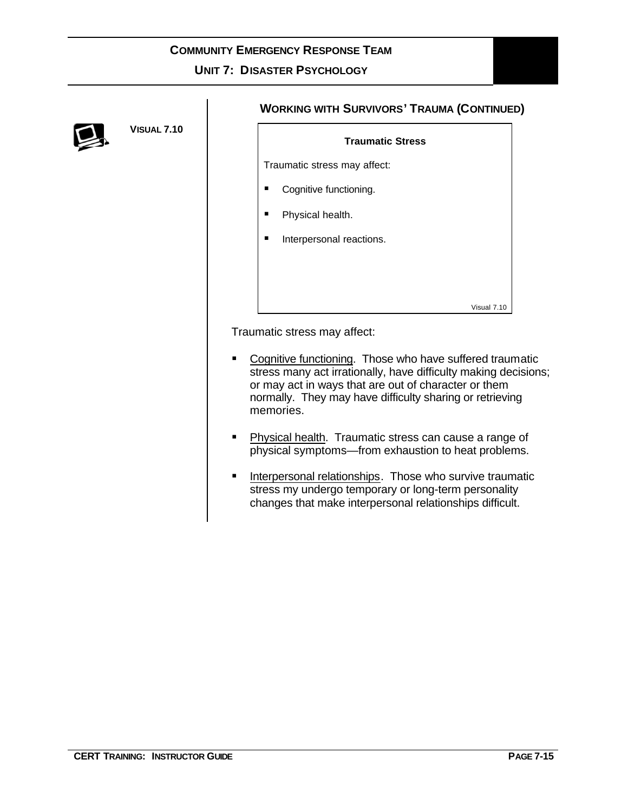

**VISUAL 7.10**

### **WORKING WITH SURVIVORS' TRAUMA (CONTINUED)**

# **Traumatic Stress** Traumatic stress may affect: ■ Cognitive functioning. Physical health. ß Interpersonal reactions. Visual 7.10

Traumatic stress may affect:

- Cognitive functioning. Those who have suffered traumatic stress many act irrationally, have difficulty making decisions; or may act in ways that are out of character or them normally. They may have difficulty sharing or retrieving memories.
- **Physical health. Traumatic stress can cause a range of** physical symptoms—from exhaustion to heat problems.
- **Interpersonal relationships. Those who survive traumatic** stress my undergo temporary or long-term personality changes that make interpersonal relationships difficult.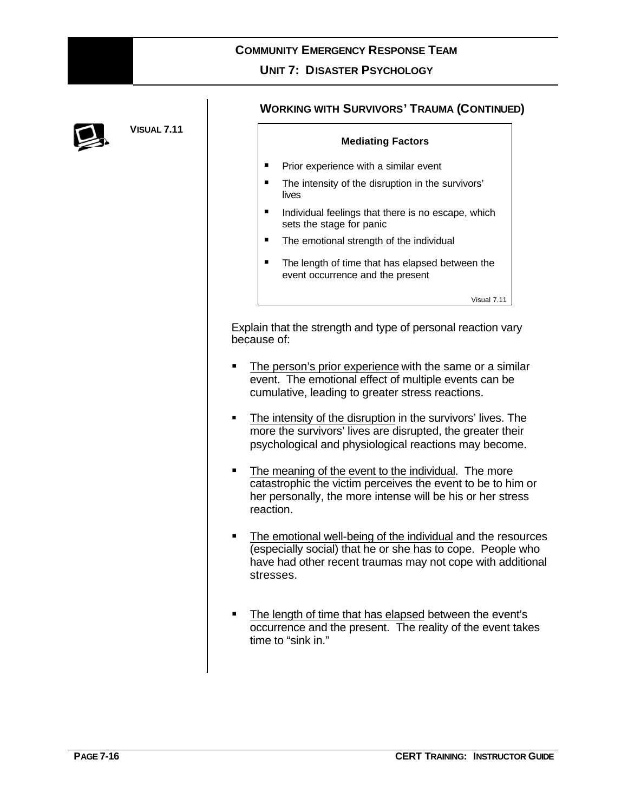

### **COMMUNITY EMERGENCY RESPONSE TEAM UNIT 7: DISASTER PSYCHOLOGY**



**VISUAL 7.11**

### **WORKING WITH SURVIVORS' TRAUMA (CONTINUED)**

# **Mediating Factors**

- **Prior experience with a similar event**
- The intensity of the disruption in the survivors' lives
- $\blacksquare$  Individual feelings that there is no escape, which sets the stage for panic
- The emotional strength of the individual
- The length of time that has elapsed between the event occurrence and the present

Visual 7.11

Explain that the strength and type of personal reaction vary because of:

- **The person's prior experience with the same or a similar** event. The emotional effect of multiple events can be cumulative, leading to greater stress reactions.
- The intensity of the disruption in the survivors' lives. The more the survivors' lives are disrupted, the greater their psychological and physiological reactions may become.
- The meaning of the event to the individual. The more catastrophic the victim perceives the event to be to him or her personally, the more intense will be his or her stress reaction.
- The emotional well-being of the individual and the resources (especially social) that he or she has to cope. People who have had other recent traumas may not cope with additional stresses.
- The length of time that has elapsed between the event's occurrence and the present. The reality of the event takes time to "sink in."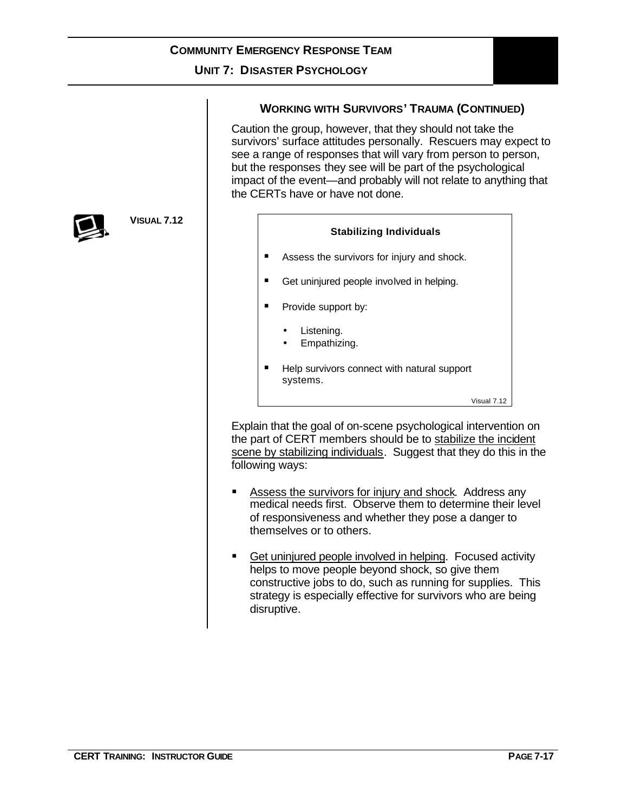### **UNIT 7: DISASTER PSYCHOLOGY**

### **WORKING WITH SURVIVORS' TRAUMA (CONTINUED)**

Caution the group, however, that they should not take the survivors' surface attitudes personally. Rescuers may expect to see a range of responses that will vary from person to person, but the responses they see will be part of the psychological impact of the event—and probably will not relate to anything that the CERTs have or have not done.



Explain that the goal of on-scene psychological intervention on the part of CERT members should be to stabilize the incident scene by stabilizing individuals. Suggest that they do this in the following ways:

- Assess the survivors for injury and shock. Address any medical needs first. Observe them to determine their level of responsiveness and whether they pose a danger to themselves or to others.
- **Get uninjured people involved in helping. Focused activity** helps to move people beyond shock, so give them constructive jobs to do, such as running for supplies. This strategy is especially effective for survivors who are being disruptive.



**VISUAL 7.12**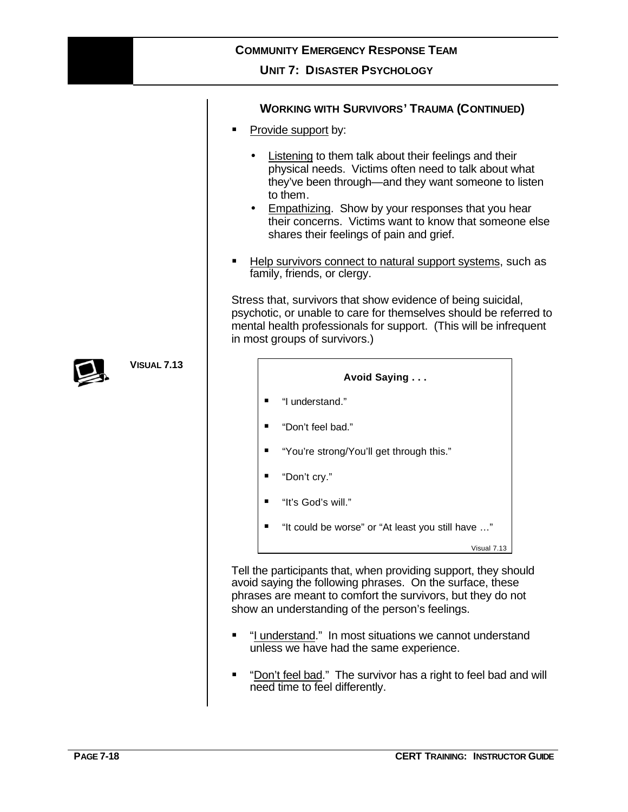### **UNIT 7: DISASTER PSYCHOLOGY**

|      | <b>WORKING WITH SURVIVORS' TRAUMA (CONTINUED)</b>                                                                                                                                                                                                                                                                                                                 |  |  |
|------|-------------------------------------------------------------------------------------------------------------------------------------------------------------------------------------------------------------------------------------------------------------------------------------------------------------------------------------------------------------------|--|--|
|      | Provide support by:                                                                                                                                                                                                                                                                                                                                               |  |  |
|      | Listening to them talk about their feelings and their<br>physical needs. Victims often need to talk about what<br>they've been through—and they want someone to listen<br>to them.<br><b>Empathizing.</b> Show by your responses that you hear<br>$\bullet$<br>their concerns. Victims want to know that someone else<br>shares their feelings of pain and grief. |  |  |
|      | Help survivors connect to natural support systems, such as<br>family, friends, or clergy.                                                                                                                                                                                                                                                                         |  |  |
|      | Stress that, survivors that show evidence of being suicidal,<br>psychotic, or unable to care for themselves should be referred to<br>mental health professionals for support. (This will be infrequent<br>in most groups of survivors.)                                                                                                                           |  |  |
| 7.13 | Avoid Saying                                                                                                                                                                                                                                                                                                                                                      |  |  |
|      | "I understand."                                                                                                                                                                                                                                                                                                                                                   |  |  |
|      | "Don't feel bad."<br>п                                                                                                                                                                                                                                                                                                                                            |  |  |
|      | "You're strong/You'll get through this."                                                                                                                                                                                                                                                                                                                          |  |  |
|      | "Don't cry."<br>п                                                                                                                                                                                                                                                                                                                                                 |  |  |
|      | "It's God's will."<br>п                                                                                                                                                                                                                                                                                                                                           |  |  |
|      | "It could be worse" or "At least you still have "                                                                                                                                                                                                                                                                                                                 |  |  |
|      | Visual 7.13                                                                                                                                                                                                                                                                                                                                                       |  |  |
|      | Tell the participants that, when providing support, they should<br>avoid saying the following phrases. On the surface, these<br>phrases are meant to comfort the survivors, but they do not<br>show an understanding of the person's feelings.                                                                                                                    |  |  |
|      | "I understand." In most situations we cannot understand<br>п<br>unless we have had the same experience.                                                                                                                                                                                                                                                           |  |  |
|      | "Don't feel bad." The survivor has a right to feel bad and will<br>need time to feel differently.                                                                                                                                                                                                                                                                 |  |  |



**VISUAL 7.13**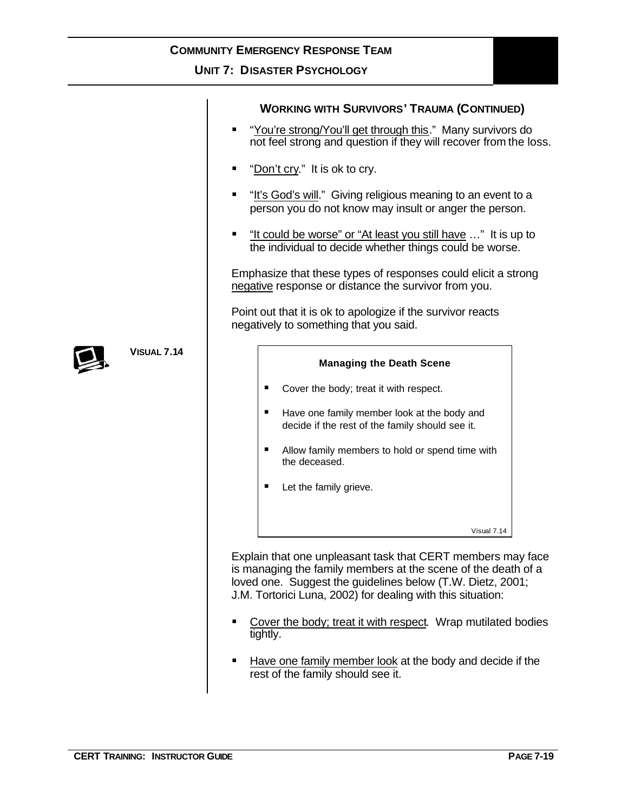## **UNIT 7: DISASTER PSYCHOLOGY**

|                                                                                                                             | <b>WORKING WITH SURVIVORS' TRAUMA (CONTINUED)</b><br>"You're strong/You'll get through this." Many survivors do<br>$\blacksquare$<br>not feel strong and question if they will recover from the loss.                                                     |  |
|-----------------------------------------------------------------------------------------------------------------------------|-----------------------------------------------------------------------------------------------------------------------------------------------------------------------------------------------------------------------------------------------------------|--|
|                                                                                                                             | "Don't cry." It is ok to cry.                                                                                                                                                                                                                             |  |
| "It's God's will." Giving religious meaning to an event to a<br>п<br>person you do not know may insult or anger the person. |                                                                                                                                                                                                                                                           |  |
|                                                                                                                             | "It could be worse" or "At least you still have " It is up to<br>the individual to decide whether things could be worse.                                                                                                                                  |  |
|                                                                                                                             | Emphasize that these types of responses could elicit a strong<br>negative response or distance the survivor from you.                                                                                                                                     |  |
|                                                                                                                             | Point out that it is ok to apologize if the survivor reacts<br>negatively to something that you said.                                                                                                                                                     |  |
|                                                                                                                             |                                                                                                                                                                                                                                                           |  |
| <b>VISUAL 7.14</b>                                                                                                          | <b>Managing the Death Scene</b>                                                                                                                                                                                                                           |  |
|                                                                                                                             | Cover the body; treat it with respect.                                                                                                                                                                                                                    |  |
|                                                                                                                             | Have one family member look at the body and<br>п<br>decide if the rest of the family should see it.                                                                                                                                                       |  |
|                                                                                                                             | Allow family members to hold or spend time with<br>п<br>the deceased.                                                                                                                                                                                     |  |
|                                                                                                                             | Let the family grieve.                                                                                                                                                                                                                                    |  |
|                                                                                                                             | Visual 7.14                                                                                                                                                                                                                                               |  |
|                                                                                                                             | Explain that one unpleasant task that CERT members may face<br>is managing the family members at the scene of the death of a<br>loved one. Suggest the guidelines below (T.W. Dietz, 2001;<br>J.M. Tortorici Luna, 2002) for dealing with this situation: |  |

- Cover the body; treat it with respect. Wrap mutilated bodies tightly.
- Have one family member look at the body and decide if the rest of the family should see it.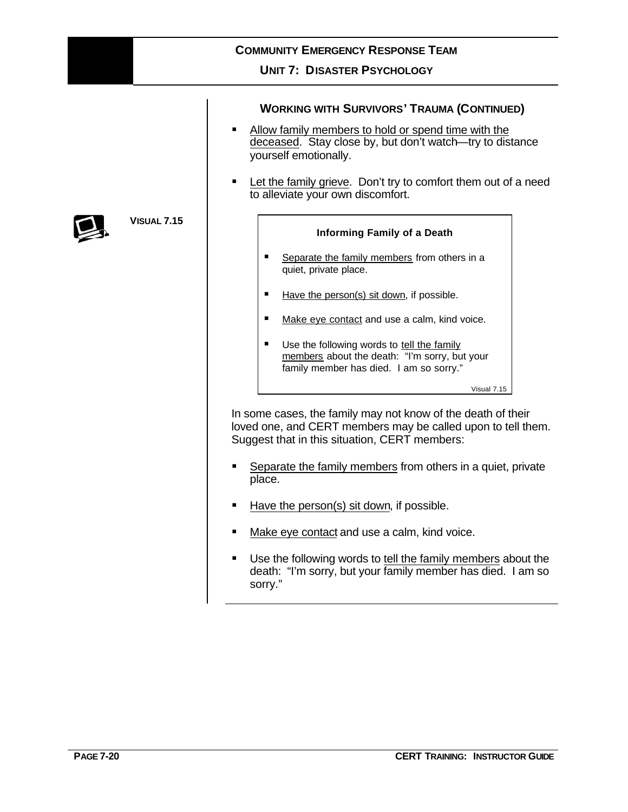| <b>COMMUNITY EMERGENCY RESPONSE TEAM</b> |                                                                                                                                                                                                                                                                                                                                                                      |  |  |  |
|------------------------------------------|----------------------------------------------------------------------------------------------------------------------------------------------------------------------------------------------------------------------------------------------------------------------------------------------------------------------------------------------------------------------|--|--|--|
|                                          | <b>UNIT 7: DISASTER PSYCHOLOGY</b>                                                                                                                                                                                                                                                                                                                                   |  |  |  |
|                                          | <b>WORKING WITH SURVIVORS' TRAUMA (CONTINUED)</b><br>Allow family members to hold or spend time with the<br>deceased. Stay close by, but don't watch-try to distance<br>yourself emotionally.<br>Let the family grieve. Don't try to comfort them out of a need<br>٠<br>to alleviate your own discomfort.                                                            |  |  |  |
| 5                                        | Informing Family of a Death<br>Separate the family members from others in a<br>quiet, private place.<br>Have the person(s) sit down, if possible.<br>Make eye contact and use a calm, kind voice.<br>п<br>Use the following words to tell the family<br>٠<br>members about the death: "I'm sorry, but your<br>family member has died. I am so sorry."<br>Visual 7.15 |  |  |  |

In some cases, the family may not know of the death of their loved one, and CERT members may be called upon to tell them. Suggest that in this situation, CERT members:

- **Separate the family members from others in a quiet, private** place.
- Have the person(s) sit down, if possible.
- Make eye contact and use a calm, kind voice.
- **Use the following words to tell the family members about the** death: "I'm sorry, but your family member has died. I am so sorry."



**VISUAL 7.15**